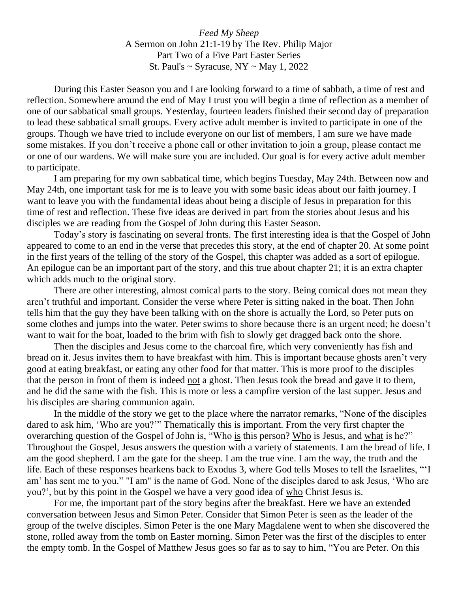*Feed My Sheep* A Sermon on John 21:1-19 by The Rev. Philip Major Part Two of a Five Part Easter Series St. Paul's  $\sim$  Syracuse, NY  $\sim$  May 1, 2022

During this Easter Season you and I are looking forward to a time of sabbath, a time of rest and reflection. Somewhere around the end of May I trust you will begin a time of reflection as a member of one of our sabbatical small groups. Yesterday, fourteen leaders finished their second day of preparation to lead these sabbatical small groups. Every active adult member is invited to participate in one of the groups. Though we have tried to include everyone on our list of members, I am sure we have made some mistakes. If you don't receive a phone call or other invitation to join a group, please contact me or one of our wardens. We will make sure you are included. Our goal is for every active adult member to participate.

I am preparing for my own sabbatical time, which begins Tuesday, May 24th. Between now and May 24th, one important task for me is to leave you with some basic ideas about our faith journey. I want to leave you with the fundamental ideas about being a disciple of Jesus in preparation for this time of rest and reflection. These five ideas are derived in part from the stories about Jesus and his disciples we are reading from the Gospel of John during this Easter Season.

Today's story is fascinating on several fronts. The first interesting idea is that the Gospel of John appeared to come to an end in the verse that precedes this story, at the end of chapter 20. At some point in the first years of the telling of the story of the Gospel, this chapter was added as a sort of epilogue. An epilogue can be an important part of the story, and this true about chapter 21; it is an extra chapter which adds much to the original story.

There are other interesting, almost comical parts to the story. Being comical does not mean they aren't truthful and important. Consider the verse where Peter is sitting naked in the boat. Then John tells him that the guy they have been talking with on the shore is actually the Lord, so Peter puts on some clothes and jumps into the water. Peter swims to shore because there is an urgent need; he doesn't want to wait for the boat, loaded to the brim with fish to slowly get dragged back onto the shore.

Then the disciples and Jesus come to the charcoal fire, which very conveniently has fish and bread on it. Jesus invites them to have breakfast with him. This is important because ghosts aren't very good at eating breakfast, or eating any other food for that matter. This is more proof to the disciples that the person in front of them is indeed not a ghost. Then Jesus took the bread and gave it to them, and he did the same with the fish. This is more or less a campfire version of the last supper. Jesus and his disciples are sharing communion again.

In the middle of the story we get to the place where the narrator remarks, "None of the disciples dared to ask him, 'Who are you?'" Thematically this is important. From the very first chapter the overarching question of the Gospel of John is, "Who is this person? Who is Jesus, and what is he?" Throughout the Gospel, Jesus answers the question with a variety of statements. I am the bread of life. I am the good shepherd. I am the gate for the sheep. I am the true vine. I am the way, the truth and the life. Each of these responses hearkens back to Exodus 3, where God tells Moses to tell the Israelites, "'I am' has sent me to you." "I am" is the name of God. None of the disciples dared to ask Jesus, 'Who are you?', but by this point in the Gospel we have a very good idea of who Christ Jesus is.

For me, the important part of the story begins after the breakfast. Here we have an extended conversation between Jesus and Simon Peter. Consider that Simon Peter is seen as the leader of the group of the twelve disciples. Simon Peter is the one Mary Magdalene went to when she discovered the stone, rolled away from the tomb on Easter morning. Simon Peter was the first of the disciples to enter the empty tomb. In the Gospel of Matthew Jesus goes so far as to say to him, "You are Peter. On this